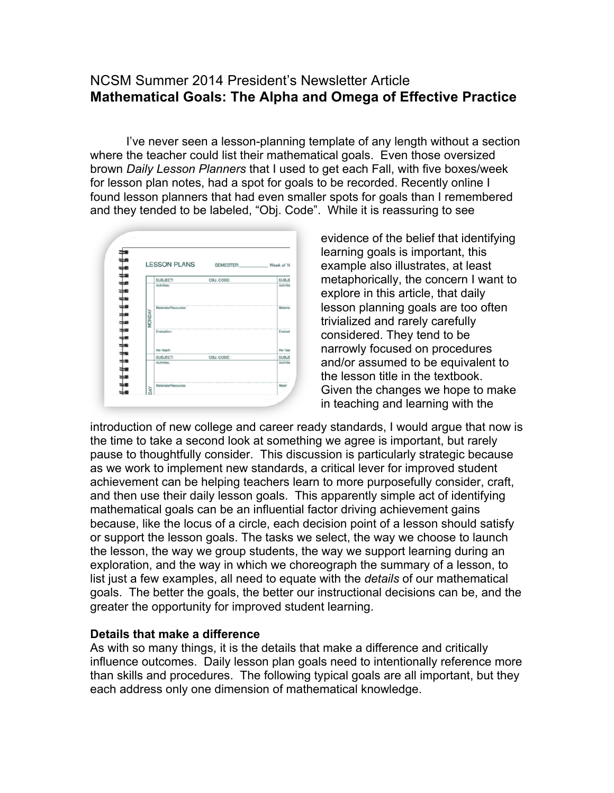## NCSM Summer 2014 President's Newsletter Article **Mathematical Goals: The Alpha and Omega of Effective Practice**

I've never seen a lesson-planning template of any length without a section where the teacher could list their mathematical goals. Even those oversized brown *Daily Lesson Planners* that I used to get each Fall, with five boxes/week for lesson plan notes, had a spot for goals to be recorded. Recently online I found lesson planners that had even smaller spots for goals than I remembered and they tended to be labeled, "Obj. Code". While it is reassuring to see



evidence of the belief that identifying learning goals is important, this example also illustrates, at least metaphorically, the concern I want to explore in this article, that daily lesson planning goals are too often trivialized and rarely carefully considered. They tend to be narrowly focused on procedures and/or assumed to be equivalent to the lesson title in the textbook. Given the changes we hope to make in teaching and learning with the

introduction of new college and career ready standards, I would argue that now is the time to take a second look at something we agree is important, but rarely pause to thoughtfully consider. This discussion is particularly strategic because as we work to implement new standards, a critical lever for improved student achievement can be helping teachers learn to more purposefully consider, craft, and then use their daily lesson goals. This apparently simple act of identifying mathematical goals can be an influential factor driving achievement gains because, like the locus of a circle, each decision point of a lesson should satisfy or support the lesson goals. The tasks we select, the way we choose to launch the lesson, the way we group students, the way we support learning during an exploration, and the way in which we choreograph the summary of a lesson, to list just a few examples, all need to equate with the *details* of our mathematical goals. The better the goals, the better our instructional decisions can be, and the greater the opportunity for improved student learning.

## **Details that make a difference**

As with so many things, it is the details that make a difference and critically influence outcomes. Daily lesson plan goals need to intentionally reference more than skills and procedures. The following typical goals are all important, but they each address only one dimension of mathematical knowledge.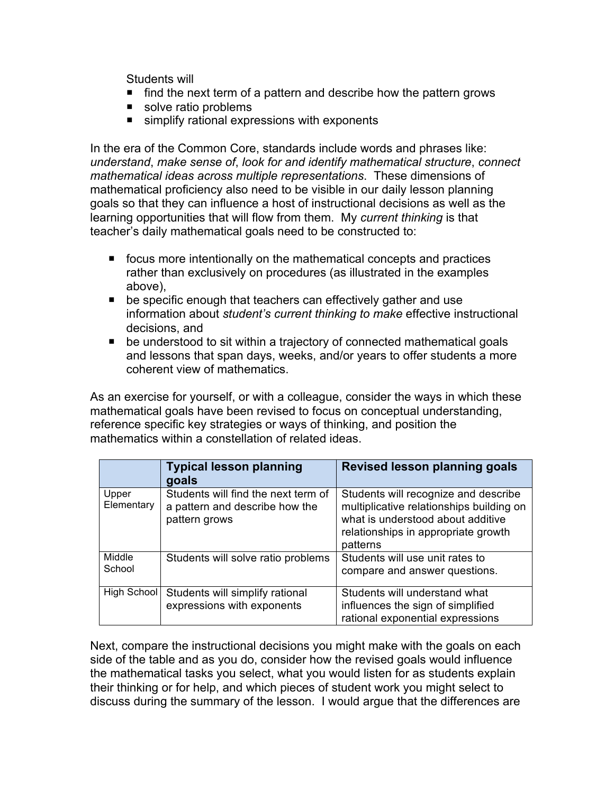Students will

- find the next term of a pattern and describe how the pattern grows
- solve ratio problems
- simplify rational expressions with exponents

In the era of the Common Core, standards include words and phrases like: *understand*, *make sense of*, *look for and identify mathematical structure*, *connect mathematical ideas across multiple representations*. These dimensions of mathematical proficiency also need to be visible in our daily lesson planning goals so that they can influence a host of instructional decisions as well as the learning opportunities that will flow from them. My *current thinking* is that teacher's daily mathematical goals need to be constructed to:

- focus more intentionally on the mathematical concepts and practices rather than exclusively on procedures (as illustrated in the examples above),
- be specific enough that teachers can effectively gather and use information about *student's current thinking to make* effective instructional decisions, and
- be understood to sit within a trajectory of connected mathematical goals and lessons that span days, weeks, and/or years to offer students a more coherent view of mathematics.

As an exercise for yourself, or with a colleague, consider the ways in which these mathematical goals have been revised to focus on conceptual understanding, reference specific key strategies or ways of thinking, and position the mathematics within a constellation of related ideas.

|                     | <b>Typical lesson planning</b><br>goals                                                | <b>Revised lesson planning goals</b>                                                                                                                                     |
|---------------------|----------------------------------------------------------------------------------------|--------------------------------------------------------------------------------------------------------------------------------------------------------------------------|
| Upper<br>Elementary | Students will find the next term of<br>a pattern and describe how the<br>pattern grows | Students will recognize and describe<br>multiplicative relationships building on<br>what is understood about additive<br>relationships in appropriate growth<br>patterns |
| Middle<br>School    | Students will solve ratio problems                                                     | Students will use unit rates to<br>compare and answer questions.                                                                                                         |
| High School         | Students will simplify rational<br>expressions with exponents                          | Students will understand what<br>influences the sign of simplified<br>rational exponential expressions                                                                   |

Next, compare the instructional decisions you might make with the goals on each side of the table and as you do, consider how the revised goals would influence the mathematical tasks you select, what you would listen for as students explain their thinking or for help, and which pieces of student work you might select to discuss during the summary of the lesson. I would argue that the differences are